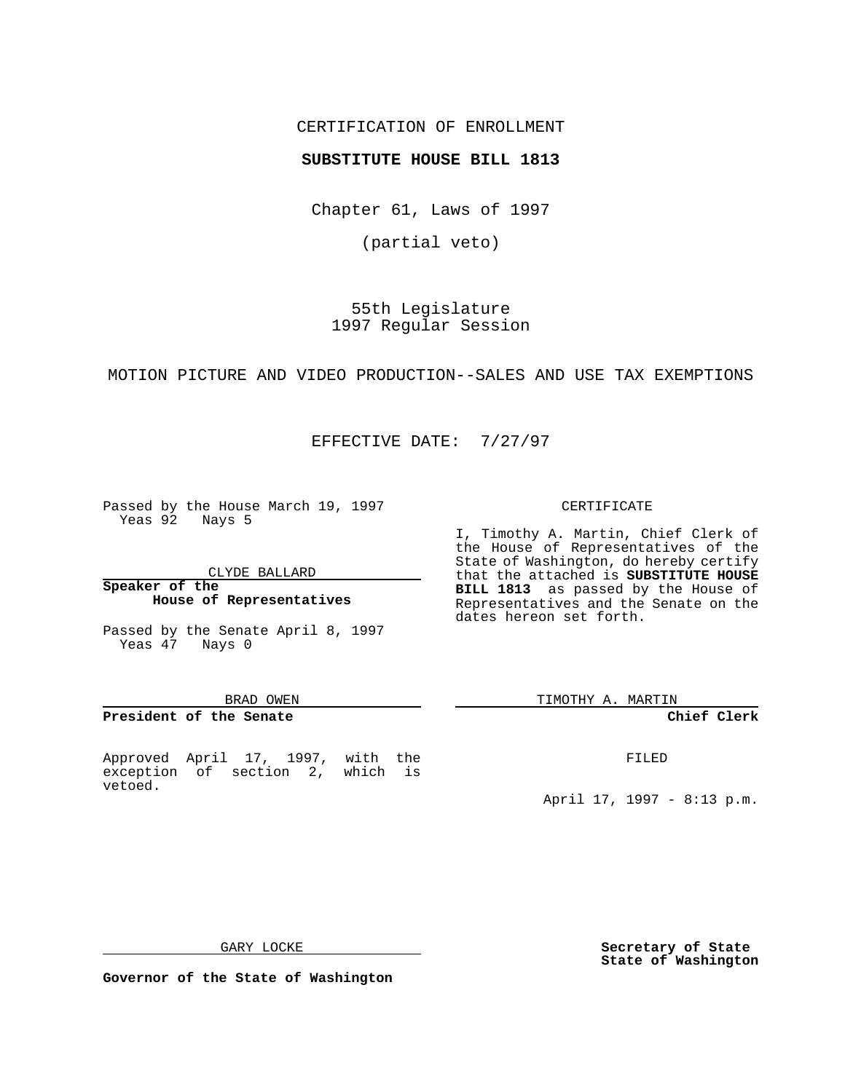# CERTIFICATION OF ENROLLMENT

# **SUBSTITUTE HOUSE BILL 1813**

Chapter 61, Laws of 1997

(partial veto)

55th Legislature 1997 Regular Session

MOTION PICTURE AND VIDEO PRODUCTION--SALES AND USE TAX EXEMPTIONS

EFFECTIVE DATE: 7/27/97

Passed by the House March 19, 1997 Yeas 92 Nays 5

CLYDE BALLARD

#### **Speaker of the House of Representatives**

Passed by the Senate April 8, 1997 Yeas 47 Nays 0

#### BRAD OWEN

### **President of the Senate**

Approved April 17, 1997, with the exception of section 2, which is vetoed.

#### CERTIFICATE

I, Timothy A. Martin, Chief Clerk of the House of Representatives of the State of Washington, do hereby certify that the attached is **SUBSTITUTE HOUSE BILL 1813** as passed by the House of Representatives and the Senate on the dates hereon set forth.

TIMOTHY A. MARTIN

#### **Chief Clerk**

FILED

April 17, 1997 - 8:13 p.m.

GARY LOCKE

**Secretary of State State of Washington**

**Governor of the State of Washington**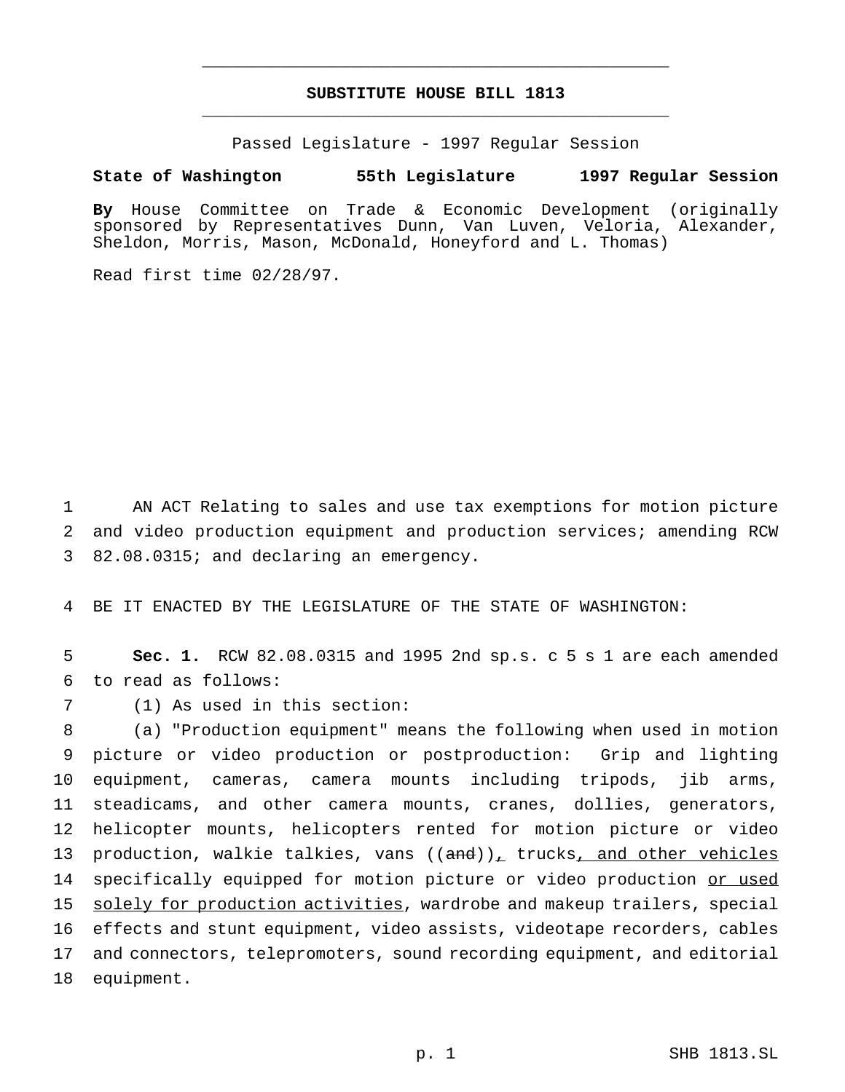# **SUBSTITUTE HOUSE BILL 1813** \_\_\_\_\_\_\_\_\_\_\_\_\_\_\_\_\_\_\_\_\_\_\_\_\_\_\_\_\_\_\_\_\_\_\_\_\_\_\_\_\_\_\_\_\_\_\_

\_\_\_\_\_\_\_\_\_\_\_\_\_\_\_\_\_\_\_\_\_\_\_\_\_\_\_\_\_\_\_\_\_\_\_\_\_\_\_\_\_\_\_\_\_\_\_

Passed Legislature - 1997 Regular Session

# **State of Washington 55th Legislature 1997 Regular Session**

**By** House Committee on Trade & Economic Development (originally sponsored by Representatives Dunn, Van Luven, Veloria, Alexander, Sheldon, Morris, Mason, McDonald, Honeyford and L. Thomas)

Read first time 02/28/97.

1 AN ACT Relating to sales and use tax exemptions for motion picture 2 and video production equipment and production services; amending RCW 3 82.08.0315; and declaring an emergency.

4 BE IT ENACTED BY THE LEGISLATURE OF THE STATE OF WASHINGTON:

5 **Sec. 1.** RCW 82.08.0315 and 1995 2nd sp.s. c 5 s 1 are each amended 6 to read as follows:

7 (1) As used in this section:

 (a) "Production equipment" means the following when used in motion picture or video production or postproduction: Grip and lighting equipment, cameras, camera mounts including tripods, jib arms, steadicams, and other camera mounts, cranes, dollies, generators, helicopter mounts, helicopters rented for motion picture or video 13 production, walkie talkies, vans  $((and))_+$  trucks, and other vehicles 14 specifically equipped for motion picture or video production or used solely for production activities, wardrobe and makeup trailers, special effects and stunt equipment, video assists, videotape recorders, cables and connectors, telepromoters, sound recording equipment, and editorial equipment.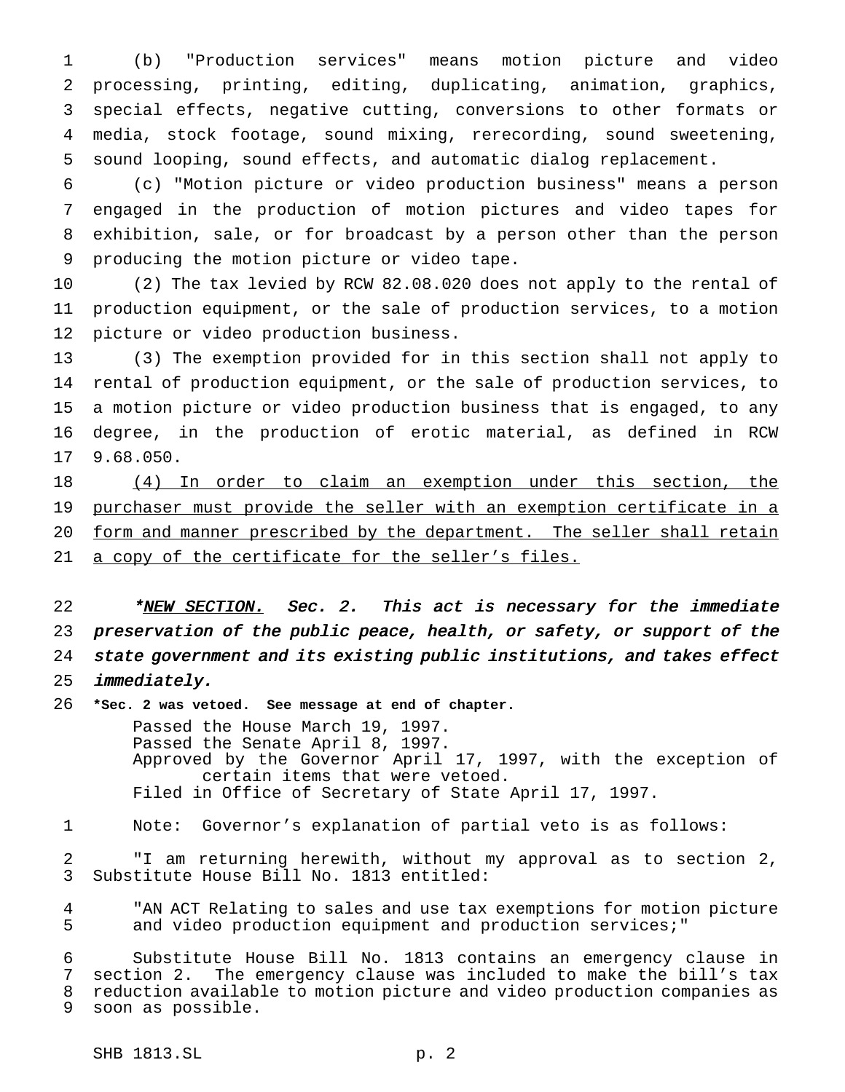(b) "Production services" means motion picture and video processing, printing, editing, duplicating, animation, graphics, special effects, negative cutting, conversions to other formats or media, stock footage, sound mixing, rerecording, sound sweetening, sound looping, sound effects, and automatic dialog replacement.

 (c) "Motion picture or video production business" means a person engaged in the production of motion pictures and video tapes for exhibition, sale, or for broadcast by a person other than the person producing the motion picture or video tape.

 (2) The tax levied by RCW 82.08.020 does not apply to the rental of production equipment, or the sale of production services, to a motion picture or video production business.

 (3) The exemption provided for in this section shall not apply to rental of production equipment, or the sale of production services, to a motion picture or video production business that is engaged, to any degree, in the production of erotic material, as defined in RCW 9.68.050.

 (4) In order to claim an exemption under this section, the 19 purchaser must provide the seller with an exemption certificate in a 20 form and manner prescribed by the department. The seller shall retain 21 a copy of the certificate for the seller's files.

22 \*NEW SECTION. Sec. 2. This act is necessary for the immediate preservation of the public peace, health, or safety, or support of the state government and its existing public institutions, and takes effect immediately.

 **\*Sec. 2 was vetoed. See message at end of chapter.** Passed the House March 19, 1997. Passed the Senate April 8, 1997. Approved by the Governor April 17, 1997, with the exception of certain items that were vetoed. Filed in Office of Secretary of State April 17, 1997.

Note: Governor's explanation of partial veto is as follows:

 "I am returning herewith, without my approval as to section 2, Substitute House Bill No. 1813 entitled:

 "AN ACT Relating to sales and use tax exemptions for motion picture and video production equipment and production services;"

 Substitute House Bill No. 1813 contains an emergency clause in section 2. The emergency clause was included to make the bill's tax reduction available to motion picture and video production companies as soon as possible.